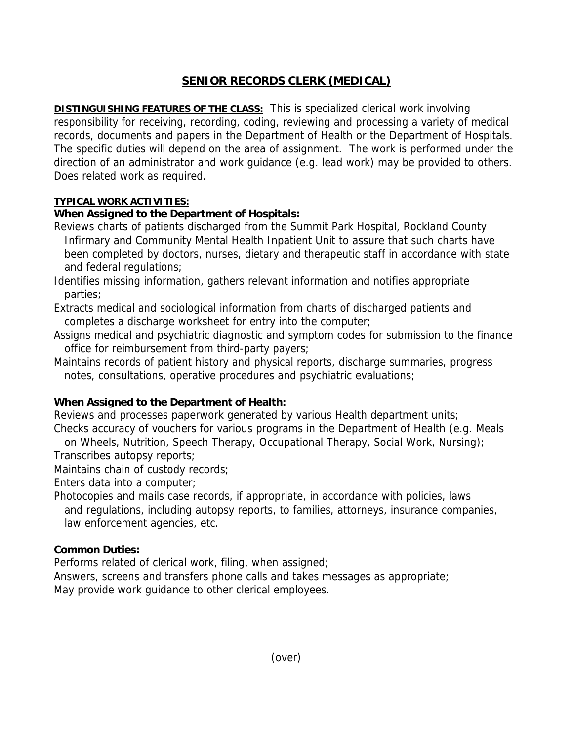# **SENIOR RECORDS CLERK (MEDICAL)**

**DISTINGUISHING FEATURES OF THE CLASS:** This is specialized clerical work involving responsibility for receiving, recording, coding, reviewing and processing a variety of medical records, documents and papers in the Department of Health or the Department of Hospitals. The specific duties will depend on the area of assignment. The work is performed under the direction of an administrator and work guidance (e.g. lead work) may be provided to others. Does related work as required.

#### **TYPICAL WORK ACTIVITIES:**

## **When Assigned to the Department of Hospitals:**

- Reviews charts of patients discharged from the Summit Park Hospital, Rockland County Infirmary and Community Mental Health Inpatient Unit to assure that such charts have been completed by doctors, nurses, dietary and therapeutic staff in accordance with state and federal regulations;
- Identifies missing information, gathers relevant information and notifies appropriate parties;
- Extracts medical and sociological information from charts of discharged patients and completes a discharge worksheet for entry into the computer;
- Assigns medical and psychiatric diagnostic and symptom codes for submission to the finance office for reimbursement from third-party payers;
- Maintains records of patient history and physical reports, discharge summaries, progress notes, consultations, operative procedures and psychiatric evaluations;

## **When Assigned to the Department of Health:**

Reviews and processes paperwork generated by various Health department units; Checks accuracy of vouchers for various programs in the Department of Health (e.g. Meals

 on Wheels, Nutrition, Speech Therapy, Occupational Therapy, Social Work, Nursing); Transcribes autopsy reports;

Maintains chain of custody records;

Enters data into a computer;

Photocopies and mails case records, if appropriate, in accordance with policies, laws and regulations, including autopsy reports, to families, attorneys, insurance companies, law enforcement agencies, etc.

## **Common Duties:**

Performs related of clerical work, filing, when assigned;

Answers, screens and transfers phone calls and takes messages as appropriate; May provide work guidance to other clerical employees.